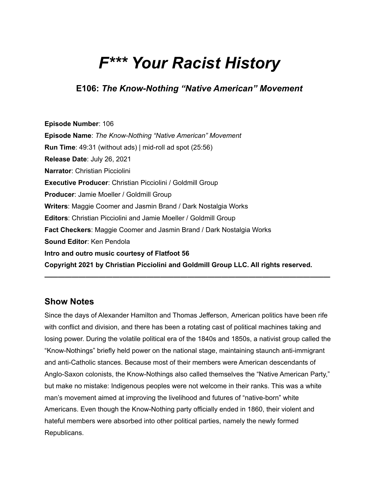# *F\*\*\* Your Racist History*

**E106:** *The Know-Nothing "Native American" Movement*

**Episode Number**: 106 **Episode Name**: *The Know-Nothing "Native American" Movement* **Run Time**: 49:31 (without ads) | mid-roll ad spot (25:56) **Release Date**: July 26, 2021 **Narrator**: Christian Picciolini **Executive Producer**: Christian Picciolini / Goldmill Group **Producer**: Jamie Moeller / Goldmill Group **Writers**: Maggie Coomer and Jasmin Brand / Dark Nostalgia Works **Editors**: Christian Picciolini and Jamie Moeller / Goldmill Group **Fact Checkers**: Maggie Coomer and Jasmin Brand / Dark Nostalgia Works **Sound Editor**: Ken Pendola **Intro and outro music courtesy of Flatfoot 56 Copyright 2021 by Christian Picciolini and Goldmill Group LLC. All rights reserved.**

#### **Show Notes**

Since the days of Alexander Hamilton and Thomas Jefferson, American politics have been rife with conflict and division, and there has been a rotating cast of political machines taking and losing power. During the volatile political era of the 1840s and 1850s, a nativist group called the "Know-Nothings" briefly held power on the national stage, maintaining staunch anti-immigrant and anti-Catholic stances. Because most of their members were American descendants of Anglo-Saxon colonists, the Know-Nothings also called themselves the "Native American Party," but make no mistake: Indigenous peoples were not welcome in their ranks. This was a white man's movement aimed at improving the livelihood and futures of "native-born" white Americans. Even though the Know-Nothing party officially ended in 1860, their violent and hateful members were absorbed into other political parties, namely the newly formed Republicans.

**——————————————————————————————————————————**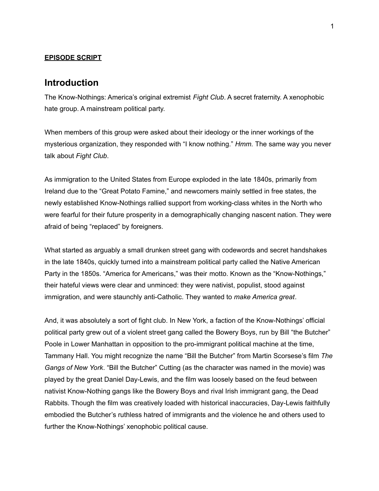#### **EPISODE SCRIPT**

#### **Introduction**

The Know-Nothings: America's original extremist *Fight Club*. A secret fraternity. A xenophobic hate group. A mainstream political party.

When members of this group were asked about their ideology or the inner workings of the mysterious organization, they responded with "I know nothing." *Hmm.* The same way you never talk about *Fight Club*.

As immigration to the United States from Europe exploded in the late 1840s, primarily from Ireland due to the "Great Potato Famine," and newcomers mainly settled in free states, the newly established Know-Nothings rallied support from working-class whites in the North who were fearful for their future prosperity in a demographically changing nascent nation. They were afraid of being "replaced" by foreigners.

What started as arguably a small drunken street gang with codewords and secret handshakes in the late 1840s, quickly turned into a mainstream political party called the Native American Party in the 1850s. "America for Americans," was their motto. Known as the "Know-Nothings," their hateful views were clear and unminced: they were nativist, populist, stood against immigration, and were staunchly anti-Catholic. They wanted to *make America great*.

And, it was absolutely a sort of fight club. In New York, a faction of the Know-Nothings' official political party grew out of a violent street gang called the Bowery Boys, run by Bill "the Butcher" Poole in Lower Manhattan in opposition to the pro-immigrant political machine at the time, Tammany Hall. You might recognize the name "Bill the Butcher" from Martin Scorsese's film *The Gangs of New York*. "Bill the Butcher" Cutting (as the character was named in the movie) was played by the great Daniel Day-Lewis, and the film was loosely based on the feud between nativist Know-Nothing gangs like the Bowery Boys and rival Irish immigrant gang, the Dead Rabbits. Though the film was creatively loaded with historical inaccuracies, Day-Lewis faithfully embodied the Butcher's ruthless hatred of immigrants and the violence he and others used to further the Know-Nothings' xenophobic political cause.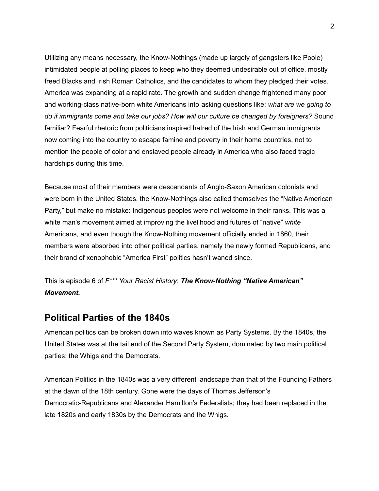Utilizing any means necessary, the Know-Nothings (made up largely of gangsters like Poole) intimidated people at polling places to keep who they deemed undesirable out of office, mostly freed Blacks and Irish Roman Catholics, and the candidates to whom they pledged their votes. America was expanding at a rapid rate. The growth and sudden change frightened many poor and working-class native-born white Americans into asking questions like: *what are we going to do if immigrants come and take our jobs? How will our culture be changed by foreigners?* Sound familiar? Fearful rhetoric from politicians inspired hatred of the Irish and German immigrants now coming into the country to escape famine and poverty in their home countries, not to mention the people of color and enslaved people already in America who also faced tragic hardships during this time.

Because most of their members were descendants of Anglo-Saxon American colonists and were born in the United States, the Know-Nothings also called themselves the "Native American Party," but make no mistake: Indigenous peoples were not welcome in their ranks. This was a white man's movement aimed at improving the livelihood and futures of "native" *white* Americans, and even though the Know-Nothing movement officially ended in 1860, their members were absorbed into other political parties, namely the newly formed Republicans, and their brand of xenophobic "America First" politics hasn't waned since.

This is episode 6 of *F\*\*\* Your Racist History*: *The Know-Nothing "Native American" Movement.*

## **Political Parties of the 1840s**

American politics can be broken down into waves known as Party Systems. By the 1840s, the United States was at the tail end of the Second Party System, dominated by two main political parties: the Whigs and the Democrats.

American Politics in the 1840s was a very different landscape than that of the Founding Fathers at the dawn of the 18th century. Gone were the days of Thomas Jefferson's Democratic-Republicans and Alexander Hamilton's Federalists; they had been replaced in the late 1820s and early 1830s by the Democrats and the Whigs.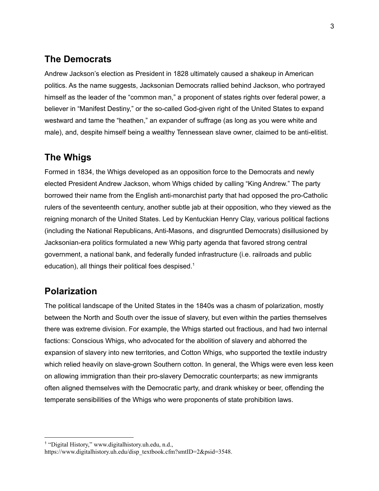# **The Democrats**

Andrew Jackson's election as President in 1828 ultimately caused a shakeup in American politics. As the name suggests, Jacksonian Democrats rallied behind Jackson, who portrayed himself as the leader of the "common man," a proponent of states rights over federal power, a believer in "Manifest Destiny," or the so-called God-given right of the United States to expand westward and tame the "heathen," an expander of suffrage (as long as you were white and male), and, despite himself being a wealthy Tennessean slave owner, claimed to be anti-elitist.

# **The Whigs**

Formed in 1834, the Whigs developed as an opposition force to the Democrats and newly elected President Andrew Jackson, whom Whigs chided by calling "King Andrew." The party borrowed their name from the English anti-monarchist party that had opposed the pro-Catholic rulers of the seventeenth century, another subtle jab at their opposition, who they viewed as the reigning monarch of the United States. Led by Kentuckian Henry Clay, various political factions (including the National Republicans, Anti-Masons, and disgruntled Democrats) disillusioned by Jacksonian-era politics formulated a new Whig party agenda that favored strong central government, a national bank, and federally funded infrastructure (i.e. railroads and public education), all things their political foes despised.<sup>1</sup>

# **Polarization**

The political landscape of the United States in the 1840s was a chasm of polarization, mostly between the North and South over the issue of slavery, but even within the parties themselves there was extreme division. For example, the Whigs started out fractious, and had two internal factions: Conscious Whigs, who advocated for the abolition of slavery and abhorred the expansion of slavery into new territories, and Cotton Whigs, who supported the textile industry which relied heavily on slave-grown Southern cotton. In general, the Whigs were even less keen on allowing immigration than their pro-slavery Democratic counterparts; as new immigrants often aligned themselves with the Democratic party, and drank whiskey or beer, offending the temperate sensibilities of the Whigs who were proponents of state prohibition laws.

<sup>1</sup> "Digital History," www.digitalhistory.uh.edu, n.d.,

[https://www.digitalhistory.uh.edu/disp\\_textbook.cfm?smtID=2&psid=3548.](https://www.digitalhistory.uh.edu/disp_textbook.cfm?smtID=2&psid=3548)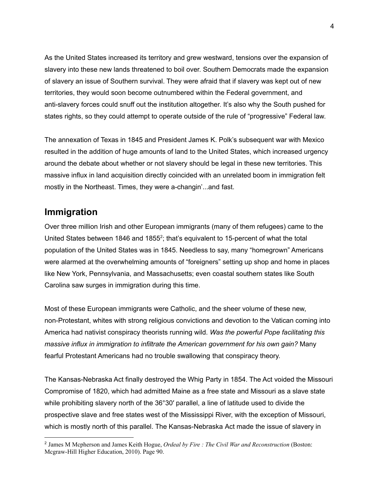As the United States increased its territory and grew westward, tensions over the expansion of slavery into these new lands threatened to boil over. Southern Democrats made the expansion of slavery an issue of Southern survival. They were afraid that if slavery was kept out of new territories, they would soon become outnumbered within the Federal government, and anti-slavery forces could snuff out the institution altogether. It's also why the South pushed for states rights, so they could attempt to operate outside of the rule of "progressive" Federal law.

The annexation of Texas in 1845 and President James K. Polk's subsequent war with Mexico resulted in the addition of huge amounts of land to the United States, which increased urgency around the debate about whether or not slavery should be legal in these new territories. This massive influx in land acquisition directly coincided with an unrelated boom in immigration felt mostly in the Northeast. Times, they were a-changin'...and fast.

## **Immigration**

Over three million Irish and other European immigrants (many of them refugees) came to the United States between 1846 and 1855 $2$ ; that's equivalent to 15-percent of what the total population of the United States was in 1845. Needless to say, many "homegrown" Americans were alarmed at the overwhelming amounts of "foreigners" setting up shop and home in places like New York, Pennsylvania, and Massachusetts; even coastal southern states like South Carolina saw surges in immigration during this time.

Most of these European immigrants were Catholic, and the sheer volume of these new, non-Protestant, whites with strong religious convictions and devotion to the Vatican coming into America had nativist conspiracy theorists running wild. *Was the powerful Pope facilitating this massive influx in immigration to infiltrate the American government for his own gain?* Many fearful Protestant Americans had no trouble swallowing that conspiracy theory.

The Kansas-Nebraska Act finally destroyed the Whig Party in 1854. The Act voided the Missouri Compromise of 1820, which had admitted Maine as a free state and Missouri as a slave state while prohibiting slavery north of the 36°30' parallel, a line of latitude used to divide the prospective slave and free states west of the Mississippi River, with the exception of Missouri, which is mostly north of this parallel. The Kansas-Nebraska Act made the issue of slavery in

<sup>2</sup> James M Mcpherson and James Keith Hogue, *Ordeal by Fire : The Civil War and Reconstruction* (Boston: Mcgraw-Hill Higher Education, 2010). Page 90.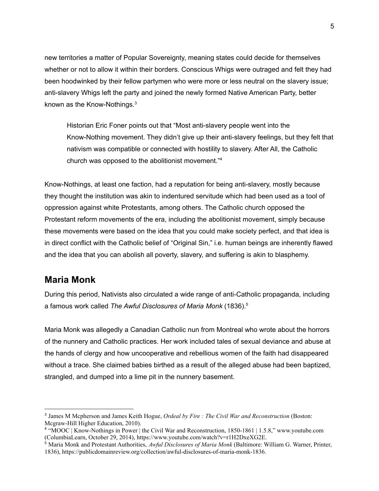new territories a matter of Popular Sovereignty, meaning states could decide for themselves whether or not to allow it within their borders. Conscious Whigs were outraged and felt they had been hoodwinked by their fellow partymen who were more or less neutral on the slavery issue; anti-slavery Whigs left the party and joined the newly formed Native American Party, better known as the Know-Nothings. $3$ 

Historian Eric Foner points out that "Most anti-slavery people went into the Know-Nothing movement. They didn't give up their anti-slavery feelings, but they felt that nativism was compatible or connected with hostility to slavery. After All, the Catholic church was opposed to the abolitionist movement." 4

Know-Nothings, at least one faction, had a reputation for being anti-slavery, mostly because they thought the institution was akin to indentured servitude which had been used as a tool of oppression against white Protestants, among others. The Catholic church opposed the Protestant reform movements of the era, including the abolitionist movement, simply because these movements were based on the idea that you could make society perfect, and that idea is in direct conflict with the Catholic belief of "Original Sin," i.e. human beings are inherently flawed and the idea that you can abolish all poverty, slavery, and suffering is akin to blasphemy.

#### **Maria Monk**

During this period, Nativists also circulated a wide range of anti-Catholic propaganda, including a famous work called *The Awful Disclosures of Maria Monk* (1836). 5

Maria Monk was allegedly a Canadian Catholic nun from Montreal who wrote about the horrors of the nunnery and Catholic practices. Her work included tales of sexual deviance and abuse at the hands of clergy and how uncooperative and rebellious women of the faith had disappeared without a trace. She claimed babies birthed as a result of the alleged abuse had been baptized, strangled, and dumped into a lime pit in the nunnery basement.

<sup>3</sup> James M Mcpherson and James Keith Hogue, *Ordeal by Fire : The Civil War and Reconstruction* (Boston: Mcgraw-Hill Higher Education, 2010).

<sup>4</sup> "MOOC | Know-Nothings in Power | the Civil War and Reconstruction, 1850-1861 | 1.5.8," www.youtube.com (ColumbiaLearn, October 29, 2014), [https://www.youtube.com/watch?v=r1H2DxeXG2E.](https://www.youtube.com/watch?v=r1H2DxeXG2E)

<sup>5</sup> Maria Monk and Protestant Authorities, *Awful Disclosures of Maria Monk* (Baltimore: William G. Warner, Printer, 1836), [https://publicdomainreview.org/collection/awful-disclosures-of-maria-monk-1836.](https://publicdomainreview.org/collection/awful-disclosures-of-maria-monk-1836)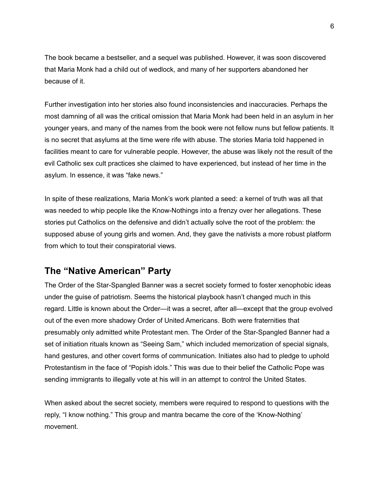The book became a bestseller, and a sequel was published. However, it was soon discovered that Maria Monk had a child out of wedlock, and many of her supporters abandoned her because of it.

Further investigation into her stories also found inconsistencies and inaccuracies. Perhaps the most damning of all was the critical omission that Maria Monk had been held in an asylum in her younger years, and many of the names from the book were not fellow nuns but fellow patients. It is no secret that asylums at the time were rife with abuse. The stories Maria told happened in facilities meant to care for vulnerable people. However, the abuse was likely not the result of the evil Catholic sex cult practices she claimed to have experienced, but instead of her time in the asylum. In essence, it was "fake news."

In spite of these realizations, Maria Monk's work planted a seed: a kernel of truth was all that was needed to whip people like the Know-Nothings into a frenzy over her allegations. These stories put Catholics on the defensive and didn't actually solve the root of the problem: the supposed abuse of young girls and women. And, they gave the nativists a more robust platform from which to tout their conspiratorial views.

# **The "Native American" Party**

The Order of the Star-Spangled Banner was a secret society formed to foster xenophobic ideas under the guise of patriotism. Seems the historical playbook hasn't changed much in this regard. Little is known about the Order—it was a secret, after all—except that the group evolved out of the even more shadowy Order of United Americans. Both were fraternities that presumably only admitted white Protestant men. The Order of the Star-Spangled Banner had a set of initiation rituals known as "Seeing Sam," which included memorization of special signals, hand gestures, and other covert forms of communication. Initiates also had to pledge to uphold Protestantism in the face of "Popish idols." This was due to their belief the Catholic Pope was sending immigrants to illegally vote at his will in an attempt to control the United States.

When asked about the secret society, members were required to respond to questions with the reply, "I know nothing." This group and mantra became the core of the 'Know-Nothing' movement.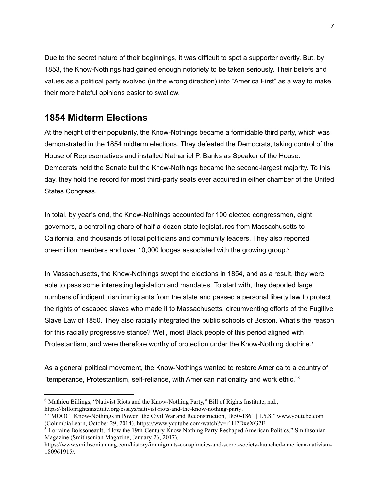Due to the secret nature of their beginnings, it was difficult to spot a supporter overtly. But, by 1853, the Know-Nothings had gained enough notoriety to be taken seriously. Their beliefs and values as a political party evolved (in the wrong direction) into "America First" as a way to make their more hateful opinions easier to swallow.

## **1854 Midterm Elections**

At the height of their popularity, the Know-Nothings became a formidable third party, which was demonstrated in the 1854 midterm elections. They defeated the Democrats, taking control of the House of Representatives and installed Nathaniel P. Banks as Speaker of the House. Democrats held the Senate but the Know-Nothings became the second-largest majority. To this day, they hold the record for most third-party seats ever acquired in either chamber of the United States Congress.

In total, by year's end, the Know-Nothings accounted for 100 elected congressmen, eight governors, a controlling share of half-a-dozen state legislatures from Massachusetts to California, and thousands of local politicians and community leaders. They also reported one-million members and over 10,000 lodges associated with the growing group. 6

In Massachusetts, the Know-Nothings swept the elections in 1854, and as a result, they were able to pass some interesting legislation and mandates. To start with, they deported large numbers of indigent Irish immigrants from the state and passed a personal liberty law to protect the rights of escaped slaves who made it to Massachusetts, circumventing efforts of the Fugitive Slave Law of 1850. They also racially integrated the public schools of Boston. What's the reason for this racially progressive stance? Well, most Black people of this period aligned with Protestantism, and were therefore worthy of protection under the Know-Nothing doctrine.<sup>7</sup>

As a general political movement, the Know-Nothings wanted to restore America to a country of "temperance, Protestantism, self-reliance, with American nationality and work ethic." 8

<sup>6</sup> Mathieu Billings, "Nativist Riots and the Know-Nothing Party," Bill of Rights Institute, n.d., <https://billofrightsinstitute.org/essays/nativist-riots-and-the-know-nothing-party>.

<sup>7</sup> "MOOC | Know-Nothings in Power | the Civil War and Reconstruction, 1850-1861 | 1.5.8," www.youtube.com (ColumbiaLearn, October 29, 2014), [https://www.youtube.com/watch?v=r1H2DxeXG2E.](https://www.youtube.com/watch?v=r1H2DxeXG2E)

<sup>&</sup>lt;sup>8</sup> Lorraine Boissoneault, "How the 19th-Century Know Nothing Party Reshaped American Politics," Smithsonian Magazine (Smithsonian Magazine, January 26, 2017),

[https://www.smithsonianmag.com/history/immigrants-conspiracies-and-secret-society-launched-american-nativism-](https://www.smithsonianmag.com/history/immigrants-conspiracies-and-secret-society-launched-american-nativism-180961915/)[180961915/.](https://www.smithsonianmag.com/history/immigrants-conspiracies-and-secret-society-launched-american-nativism-180961915/)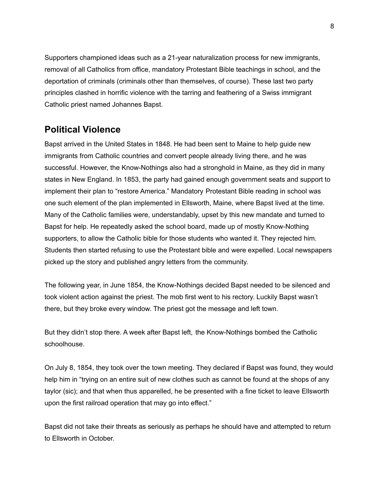Supporters championed ideas such as a 21-year naturalization process for new immigrants, removal of all Catholics from office, mandatory Protestant Bible teachings in school, and the deportation of criminals (criminals other than themselves, of course). These last two party principles clashed in horrific violence with the tarring and feathering of a Swiss immigrant Catholic priest named Johannes Bapst.

# **Political Violence**

Bapst arrived in the United States in 1848. He had been sent to Maine to help guide new immigrants from Catholic countries and convert people already living there, and he was successful. However, the Know-Nothings also had a stronghold in Maine, as they did in many states in New England. In 1853, the party had gained enough government seats and support to implement their plan to "restore America." Mandatory Protestant Bible reading in school was one such element of the plan implemented in Ellsworth, Maine, where Bapst lived at the time. Many of the Catholic families were, understandably, upset by this new mandate and turned to Bapst for help. He repeatedly asked the school board, made up of mostly Know-Nothing supporters, to allow the Catholic bible for those students who wanted it. They rejected him. Students then started refusing to use the Protestant bible and were expelled. Local newspapers picked up the story and published angry letters from the community.

The following year, in June 1854, the Know-Nothings decided Bapst needed to be silenced and took violent action against the priest. The mob first went to his rectory. Luckily Bapst wasn't there, but they broke every window. The priest got the message and left town.

But they didn't stop there. A week after Bapst left, the Know-Nothings bombed the Catholic schoolhouse.

On July 8, 1854, they took over the town meeting. They declared if Bapst was found, they would help him in "trying on an entire suit of new clothes such as cannot be found at the shops of any taylor (sic); and that when thus apparelled, he be presented with a fine ticket to leave Ellsworth upon the first railroad operation that may go into effect."

Bapst did not take their threats as seriously as perhaps he should have and attempted to return to Ellsworth in October.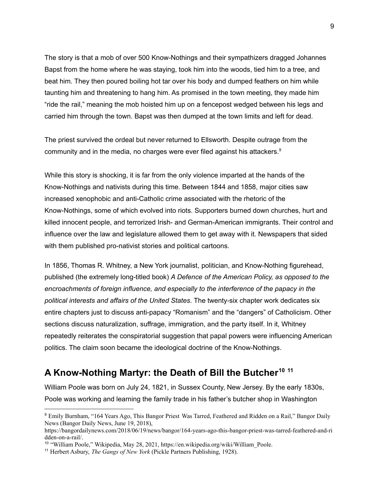The story is that a mob of over 500 Know-Nothings and their sympathizers dragged Johannes Bapst from the home where he was staying, took him into the woods, tied him to a tree, and beat him. They then poured boiling hot tar over his body and dumped feathers on him while taunting him and threatening to hang him. As promised in the town meeting, they made him "ride the rail," meaning the mob hoisted him up on a fencepost wedged between his legs and carried him through the town. Bapst was then dumped at the town limits and left for dead.

The priest survived the ordeal but never returned to Ellsworth. Despite outrage from the community and in the media, no charges were ever filed against his attackers. 9

While this story is shocking, it is far from the only violence imparted at the hands of the Know-Nothings and nativists during this time. Between 1844 and 1858, major cities saw increased xenophobic and anti-Catholic crime associated with the rhetoric of the Know-Nothings, some of which evolved into riots. Supporters burned down churches, hurt and killed innocent people, and terrorized Irish- and German-American immigrants. Their control and influence over the law and legislature allowed them to get away with it. Newspapers that sided with them published pro-nativist stories and political cartoons.

In 1856, Thomas R. Whitney, a New York journalist, politician, and Know-Nothing figurehead, published (the extremely long-titled book) *A Defence of the American Policy, as opposed to the encroachments of foreign influence, and especially to the interference of the papacy in the political interests and affairs of the United States*. The twenty-six chapter work dedicates six entire chapters just to discuss anti-papacy "Romanism" and the "dangers" of Catholicism. Other sections discuss naturalization, suffrage, immigration, and the party itself. In it, Whitney repeatedly reiterates the conspiratorial suggestion that papal powers were influencing American politics. The claim soon became the ideological doctrine of the Know-Nothings.

# **A Know-Nothing Martyr: the Death of Bill the Butcher<sup>10</sup> <sup>11</sup>**

William Poole was born on July 24, 1821, in Sussex County, New Jersey. By the early 1830s, Poole was working and learning the family trade in his father's butcher shop in Washington

<sup>9</sup> Emily Burnham, "164 Years Ago, This Bangor Priest Was Tarred, Feathered and Ridden on a Rail," Bangor Daily News (Bangor Daily News, June 19, 2018),

[https://bangordailynews.com/2018/06/19/news/bangor/164-years-ago-this-bangor-priest-was-tarred-feathered-and-ri](https://bangordailynews.com/2018/06/19/news/bangor/164-years-ago-this-bangor-priest-was-tarred-feathered-and-ridden-on-a-rail/) [dden-on-a-rail/.](https://bangordailynews.com/2018/06/19/news/bangor/164-years-ago-this-bangor-priest-was-tarred-feathered-and-ridden-on-a-rail/)

<sup>&</sup>lt;sup>10</sup> "William Poole," Wikipedia, May 28, 2021, [https://en.wikipedia.org/wiki/William\\_Poole](https://en.wikipedia.org/wiki/William_Poole).

<sup>11</sup> Herbert Asbury, *The Gangs of New York* (Pickle Partners Publishing, 1928).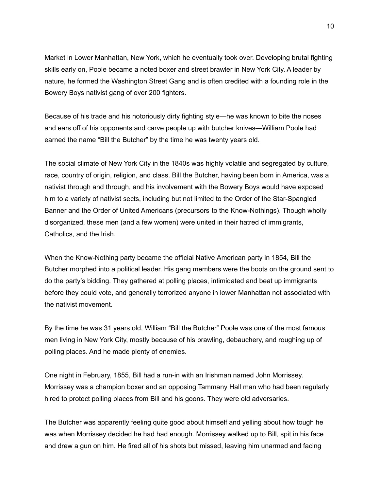Market in Lower Manhattan, New York, which he eventually took over. Developing brutal fighting skills early on, Poole became a noted boxer and street brawler in New York City. A leader by nature, he formed the Washington Street Gang and is often credited with a founding role in the Bowery Boys nativist gang of over 200 fighters.

Because of his trade and his notoriously dirty fighting style—he was known to bite the noses and ears off of his opponents and carve people up with butcher knives—William Poole had earned the name "Bill the Butcher" by the time he was twenty years old.

The social climate of New York City in the 1840s was highly volatile and segregated by culture, race, country of origin, religion, and class. Bill the Butcher, having been born in America, was a nativist through and through, and his involvement with the Bowery Boys would have exposed him to a variety of nativist sects, including but not limited to the Order of the Star-Spangled Banner and the Order of United Americans (precursors to the Know-Nothings). Though wholly disorganized, these men (and a few women) were united in their hatred of immigrants, Catholics, and the Irish.

When the Know-Nothing party became the official Native American party in 1854, Bill the Butcher morphed into a political leader. His gang members were the boots on the ground sent to do the party's bidding. They gathered at polling places, intimidated and beat up immigrants before they could vote, and generally terrorized anyone in lower Manhattan not associated with the nativist movement.

By the time he was 31 years old, William "Bill the Butcher" Poole was one of the most famous men living in New York City, mostly because of his brawling, debauchery, and roughing up of polling places. And he made plenty of enemies.

One night in February, 1855, Bill had a run-in with an Irishman named John Morrissey. Morrissey was a champion boxer and an opposing Tammany Hall man who had been regularly hired to protect polling places from Bill and his goons. They were old adversaries.

The Butcher was apparently feeling quite good about himself and yelling about how tough he was when Morrissey decided he had had enough. Morrissey walked up to Bill, spit in his face and drew a gun on him. He fired all of his shots but missed, leaving him unarmed and facing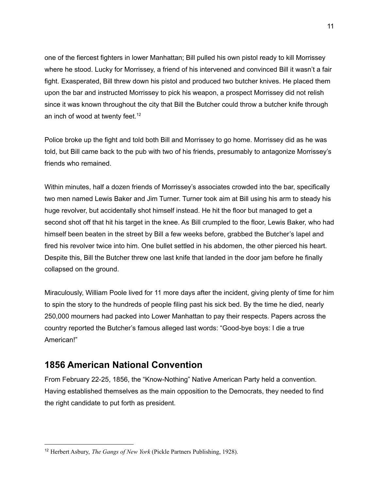one of the fiercest fighters in lower Manhattan; Bill pulled his own pistol ready to kill Morrissey where he stood. Lucky for Morrissey, a friend of his intervened and convinced Bill it wasn't a fair fight. Exasperated, Bill threw down his pistol and produced two butcher knives. He placed them upon the bar and instructed Morrissey to pick his weapon, a prospect Morrissey did not relish since it was known throughout the city that Bill the Butcher could throw a butcher knife through an inch of wood at twenty feet. $12$ 

Police broke up the fight and told both Bill and Morrissey to go home. Morrissey did as he was told, but Bill came back to the pub with two of his friends, presumably to antagonize Morrissey's friends who remained.

Within minutes, half a dozen friends of Morrissey's associates crowded into the bar, specifically two men named Lewis Baker and Jim Turner. Turner took aim at Bill using his arm to steady his huge revolver, but accidentally shot himself instead. He hit the floor but managed to get a second shot off that hit his target in the knee. As Bill crumpled to the floor, Lewis Baker, who had himself been beaten in the street by Bill a few weeks before, grabbed the Butcher's lapel and fired his revolver twice into him. One bullet settled in his abdomen, the other pierced his heart. Despite this, Bill the Butcher threw one last knife that landed in the door jam before he finally collapsed on the ground.

Miraculously, William Poole lived for 11 more days after the incident, giving plenty of time for him to spin the story to the hundreds of people filing past his sick bed. By the time he died, nearly 250,000 mourners had packed into Lower Manhattan to pay their respects. Papers across the country reported the Butcher's famous alleged last words: "Good-bye boys: I die a true American!"

## **1856 American National Convention**

From February 22-25, 1856, the "Know-Nothing" Native American Party held a convention. Having established themselves as the main opposition to the Democrats, they needed to find the right candidate to put forth as president.

<sup>12</sup> Herbert Asbury, *The Gangs of New York* (Pickle Partners Publishing, 1928).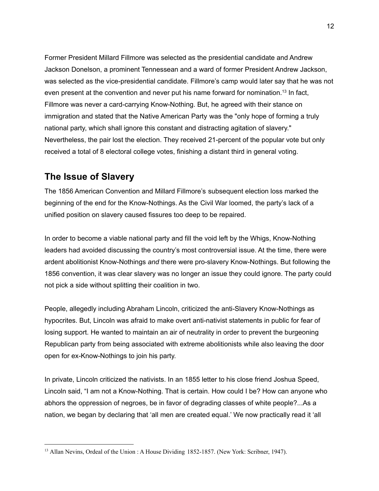Former President Millard Fillmore was selected as the presidential candidate and Andrew Jackson Donelson, a prominent Tennessean and a ward of former President Andrew Jackson, was selected as the vice-presidential candidate. Fillmore's camp would later say that he was not even present at the convention and never put his name forward for nomination.<sup>13</sup> In fact, Fillmore was never a card-carrying Know-Nothing. But, he agreed with their stance on immigration and stated that the Native American Party was the "only hope of forming a truly national party, which shall ignore this constant and distracting agitation of slavery." Nevertheless, the pair lost the election. They received 21-percent of the popular vote but only received a total of 8 electoral college votes, finishing a distant third in general voting.

## **The Issue of Slavery**

The 1856 American Convention and Millard Fillmore's subsequent election loss marked the beginning of the end for the Know-Nothings. As the Civil War loomed, the party's lack of a unified position on slavery caused fissures too deep to be repaired.

In order to become a viable national party and fill the void left by the Whigs, Know-Nothing leaders had avoided discussing the country's most controversial issue. At the time, there were ardent abolitionist Know-Nothings *and* there were pro-slavery Know-Nothings. But following the 1856 convention, it was clear slavery was no longer an issue they could ignore. The party could not pick a side without splitting their coalition in two.

People, allegedly including Abraham Lincoln, criticized the anti-Slavery Know-Nothings as hypocrites. But, Lincoln was afraid to make overt anti-nativist statements in public for fear of losing support. He wanted to maintain an air of neutrality in order to prevent the burgeoning Republican party from being associated with extreme abolitionists while also leaving the door open for ex-Know-Nothings to join his party.

In private, Lincoln criticized the nativists. In an 1855 letter to his close friend Joshua Speed, Lincoln said, "I am not a Know-Nothing. That is certain. How could I be? How can anyone who abhors the oppression of negroes, be in favor of degrading classes of white people?...As a nation, we began by declaring that 'all men are created equal.' We now practically read it 'all

<sup>&</sup>lt;sup>13</sup> Allan Nevins, Ordeal of the Union : A House Dividing 1852-1857. (New York: Scribner, 1947).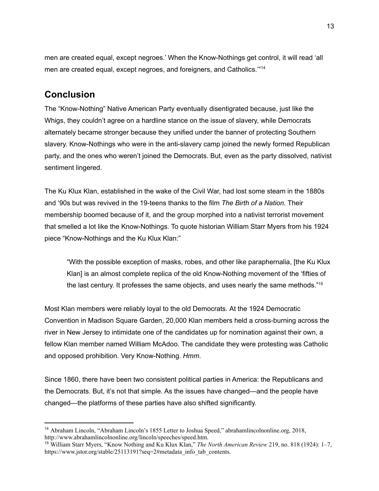men are created equal, except negroes.' When the Know-Nothings get control, it will read 'all men are created equal, except negroes, and foreigners, and Catholics."<sup>14</sup>

## **Conclusion**

The "Know-Nothing" Native American Party eventually disentigrated because, just like the Whigs, they couldn't agree on a hardline stance on the issue of slavery, while Democrats alternately became stronger because they unified under the banner of protecting Southern slavery. Know-Nothings who were in the anti-slavery camp joined the newly formed Republican party, and the ones who weren't joined the Democrats. But, even as the party dissolved, nativist sentiment lingered.

The Ku Klux Klan, established in the wake of the Civil War, had lost some steam in the 1880s and '90s but was revived in the 19-teens thanks to the film *The Birth of a Nation.* Their membership boomed because of it, and the group morphed into a nativist terrorist movement that smelled a lot like the Know-Nothings. To quote historian William Starr Myers from his 1924 piece "Know-Nothings and the Ku Klux Klan:"

"With the possible exception of masks, robes, and other like paraphernalia, [the Ku Klux Klan] is an almost complete replica of the old Know-Nothing movement of the 'fifties of the last century. It professes the same objects, and uses nearly the same methods."<sup>15</sup>

Most Klan members were reliably loyal to the old Democrats. At the 1924 Democratic Convention in Madison Square Garden, 20,000 Klan members held a cross-burning across the river in New Jersey to intimidate one of the candidates up for nomination against their own, a fellow Klan member named William McAdoo. The candidate they were protesting was Catholic and opposed prohibition. Very Know-Nothing. *Hmm*.

Since 1860, there have been two consistent political parties in America: the Republicans and the Democrats. But, it's not that simple. As the issues have changed—and the people have changed—the platforms of these parties have also shifted significantly.

<sup>14</sup> Abraham Lincoln, "Abraham Lincoln's 1855 Letter to Joshua Speed," abrahamlincolnonline.org, 2018, [http://www.abrahamlincolnonline.org/lincoln/speeches/speed.htm.](http://www.abrahamlincolnonline.org/lincoln/speeches/speed.htm)

<sup>15</sup> William Starr Myers, "Know Nothing and Ku Klux Klan," *The North American Review* 219, no. 818 (1924): 1–7, [https://www.jstor.org/stable/25113191?seq=2#metadata\\_info\\_tab\\_contents.](https://www.jstor.org/stable/25113191?seq=2#metadata_info_tab_contents)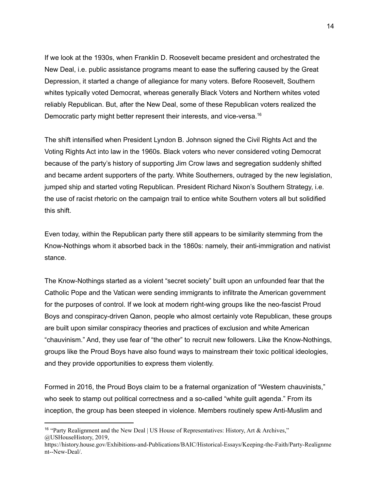If we look at the 1930s, when Franklin D. Roosevelt became president and orchestrated the New Deal, i.e. public assistance programs meant to ease the suffering caused by the Great Depression, it started a change of allegiance for many voters. Before Roosevelt, Southern whites typically voted Democrat, whereas generally Black Voters and Northern whites voted reliably Republican. But, after the New Deal, some of these Republican voters realized the Democratic party might better represent their interests, and vice-versa.<sup>16</sup>

The shift intensified when President Lyndon B. Johnson signed the Civil Rights Act and the Voting Rights Act into law in the 1960s. Black voters who never considered voting Democrat because of the party's history of supporting Jim Crow laws and segregation suddenly shifted and became ardent supporters of the party. White Southerners, outraged by the new legislation, jumped ship and started voting Republican. President Richard Nixon's Southern Strategy, i.e. the use of racist rhetoric on the campaign trail to entice white Southern voters all but solidified this shift.

Even today, within the Republican party there still appears to be similarity stemming from the Know-Nothings whom it absorbed back in the 1860s: namely, their anti-immigration and nativist stance.

The Know-Nothings started as a violent "secret society" built upon an unfounded fear that the Catholic Pope and the Vatican were sending immigrants to infiltrate the American government for the purposes of control. If we look at modern right-wing groups like the neo-fascist Proud Boys and conspiracy-driven Qanon, people who almost certainly vote Republican, these groups are built upon similar conspiracy theories and practices of exclusion and white American "chauvinism." And, they use fear of "the other" to recruit new followers. Like the Know-Nothings, groups like the Proud Boys have also found ways to mainstream their toxic political ideologies, and they provide opportunities to express them violently.

Formed in 2016, the Proud Boys claim to be a fraternal organization of "Western chauvinists," who seek to stamp out political correctness and a so-called "white guilt agenda." From its inception, the group has been steeped in violence. Members routinely spew Anti-Muslim and

<sup>&</sup>lt;sup>16</sup> "Party Realignment and the New Deal | US House of Representatives: History, Art & Archives,"

<sup>@</sup>USHouseHistory, 2019,

[https://history.house.gov/Exhibitions-and-Publications/BAIC/Historical-Essays/Keeping-the-Faith/Party-Realignme](https://history.house.gov/Exhibitions-and-Publications/BAIC/Historical-Essays/Keeping-the-Faith/Party-Realignment--New-Deal/) [nt--New-Deal/](https://history.house.gov/Exhibitions-and-Publications/BAIC/Historical-Essays/Keeping-the-Faith/Party-Realignment--New-Deal/).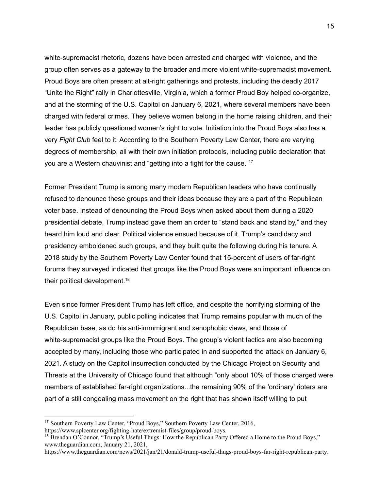white-supremacist rhetoric, dozens have been arrested and charged with violence, and the group often serves as a gateway to the broader and more violent white-supremacist movement. Proud Boys are often present at alt-right gatherings and protests, including the deadly 2017 "Unite the Right" rally in Charlottesville, Virginia, which a former Proud Boy helped co-organize, and at the storming of the U.S. Capitol on January 6, 2021, where several members have been charged with federal crimes. They believe women belong in the home raising children, and their leader has publicly questioned women's right to vote. Initiation into the Proud Boys also has a very *Fight Club* feel to it. According to the Southern Poverty Law Center, there are varying degrees of membership, all with their own initiation protocols, including public declaration that you are a Western chauvinist and "getting into a fight for the cause." 17

Former President Trump is among many modern Republican leaders who have continually refused to denounce these groups and their ideas because they are a part of the Republican voter base. Instead of denouncing the Proud Boys when asked about them during a 2020 presidential debate, Trump instead gave them an order to "stand back and stand by," and they heard him loud and clear. Political violence ensued because of it. Trump's candidacy and presidency emboldened such groups, and they built quite the following during his tenure. A 2018 study by the Southern Poverty Law Center found that 15-percent of users of far-right forums they surveyed indicated that groups like the Proud Boys were an important influence on their political development. 18

Even since former President Trump has left office, and despite the horrifying storming of the U.S. Capitol in January, public polling indicates that Trump remains popular with much of the Republican base, as do his anti-immmigrant and xenophobic views, and those of white-supremacist groups like the Proud Boys. The group's violent tactics are also becoming accepted by many, including those who participated in and supported the attack on January 6, 2021. A study on the Capitol insurrection conducted by the Chicago Project on Security and Threats at the University of Chicago found that although "only about 10% of those charged were members of established far-right organizations...the remaining 90% of the 'ordinary' rioters are part of a still congealing mass movement on the right that has shown itself willing to put

[https://www.splcenter.org/fighting-hate/extremist-files/group/proud-boys.](https://www.splcenter.org/fighting-hate/extremist-files/group/proud-boys)

<sup>17</sup> Southern Poverty Law Center, "Proud Boys," Southern Poverty Law Center, 2016,

<sup>18</sup> Brendan O'Connor, "Trump's Useful Thugs: How the Republican Party Offered a Home to the Proud Boys," www.theguardian.com, January 21, 2021,

[https://www.theguardian.com/news/2021/jan/21/donald-trump-useful-thugs-proud-boys-far-right-republican-party.](https://www.theguardian.com/news/2021/jan/21/donald-trump-useful-thugs-proud-boys-far-right-republican-party)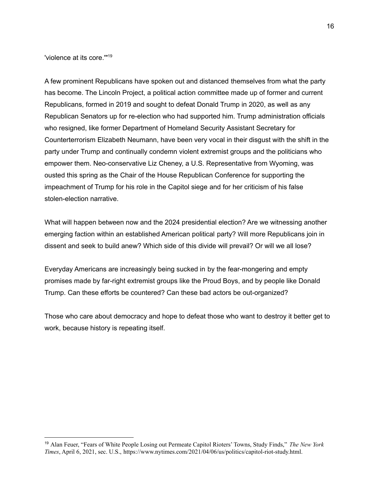'violence at its core.'" 19

A few prominent Republicans have spoken out and distanced themselves from what the party has become. The Lincoln Project, a political action committee made up of former and current Republicans, formed in 2019 and sought to defeat Donald Trump in 2020, as well as any Republican Senators up for re-election who had supported him. Trump administration officials who resigned, like former Department of Homeland Security Assistant Secretary for Counterterrorism Elizabeth Neumann, have been very vocal in their disgust with the shift in the party under Trump and continually condemn violent extremist groups and the politicians who empower them. Neo-conservative Liz Cheney, a U.S. Representative from Wyoming, was ousted this spring as the Chair of the House Republican Conference for supporting the impeachment of Trump for his role in the Capitol siege and for her criticism of his false stolen-election narrative.

What will happen between now and the 2024 presidential election? Are we witnessing another emerging faction within an established American political party? Will more Republicans join in dissent and seek to build anew? Which side of this divide will prevail? Or will we all lose?

Everyday Americans are increasingly being sucked in by the fear-mongering and empty promises made by far-right extremist groups like the Proud Boys, and by people like Donald Trump. Can these efforts be countered? Can these bad actors be out-organized?

Those who care about democracy and hope to defeat those who want to destroy it better get to work, because history is repeating itself.

<sup>19</sup> Alan Feuer, "Fears of White People Losing out Permeate Capitol Rioters' Towns, Study Finds," *The New York Times*, April 6, 2021, sec. U.S., [https://www.nytimes.com/2021/04/06/us/politics/capitol-riot-study.html.](https://www.nytimes.com/2021/04/06/us/politics/capitol-riot-study.html)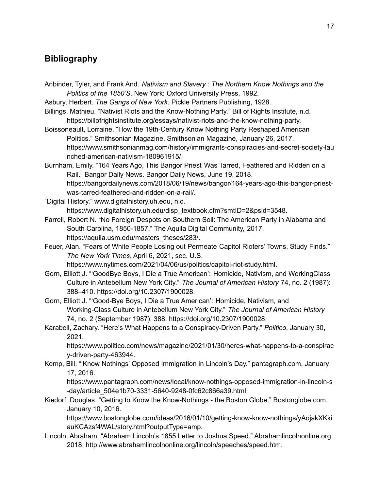## **Bibliography**

- Anbinder, Tyler, and Frank And. *Nativism and Slavery : The Northern Know Nothings and the Politics of the 1850'S*. New York: Oxford University Press, 1992.
- Asbury, Herbert. *The Gangs of New York*. Pickle Partners Publishing, 1928.
- Billings, Mathieu. "Nativist Riots and the Know-Nothing Party." Bill of Rights Institute, n.d. https://billofrightsinstitute.org/essays/nativist-riots-and-the-know-nothing-party.
- Boissoneault, Lorraine. "How the 19th-Century Know Nothing Party Reshaped American Politics." Smithsonian Magazine. Smithsonian Magazine, January 26, 2017. https://www.smithsonianmag.com/history/immigrants-conspiracies-and-secret-society-lau nched-american-nativism-180961915/.
- Burnham, Emily. "164 Years Ago, This Bangor Priest Was Tarred, Feathered and Ridden on a Rail." Bangor Daily News. Bangor Daily News, June 19, 2018. https://bangordailynews.com/2018/06/19/news/bangor/164-years-ago-this-bangor-priestwas-tarred-feathered-and-ridden-on-a-rail/.
- "Digital History." www.digitalhistory.uh.edu, n.d. https://www.digitalhistory.uh.edu/disp\_textbook.cfm?smtID=2&psid=3548.
- Farrell, Robert N. "No Foreign Despots on Southern Soil: The American Party in Alabama and South Carolina, 1850-1857." The Aquila Digital Community, 2017. https://aquila.usm.edu/masters\_theses/283/.
- Feuer, Alan. "Fears of White People Losing out Permeate Capitol Rioters' Towns, Study Finds." *The New York Times*, April 6, 2021, sec. U.S. https://www.nytimes.com/2021/04/06/us/politics/capitol-riot-study.html.
- Gorn, Elliott J. "'GoodBye Boys, I Die a True American': Homicide, Nativism, and WorkingClass Culture in Antebellum New York City." *The Journal of American History* 74, no. 2 (1987): 388–410. https://doi.org/10.2307/1900028.
- Gorn, Elliott J. "'Good-Bye Boys, I Die a True American': Homicide, Nativism, and Working-Class Culture in Antebellum New York City." *The Journal of American History* 74, no. 2 (September 1987): 388. https://doi.org/10.2307/1900028.
- Karabell, Zachary. "Here's What Happens to a Conspiracy-Driven Party." *Politico*, January 30, 2021.

https://www.politico.com/news/magazine/2021/01/30/heres-what-happens-to-a-conspirac y-driven-party-463944.

Kemp, Bill. "'Know Nothings' Opposed Immigration in Lincoln's Day." pantagraph.com, January 17, 2016.

https://www.pantagraph.com/news/local/know-nothings-opposed-immigration-in-lincoln-s -day/article\_504e1b70-3331-5640-9248-0fc62c866a39.html.

Kiedorf, Douglas. "Getting to Know the Know-Nothings - the Boston Globe." Bostonglobe.com, January 10, 2016.

https://www.bostonglobe.com/ideas/2016/01/10/getting-know-know-nothings/yAojakXKki auKCAzsf4WAL/story.html?outputType=amp.

Lincoln, Abraham. "Abraham Lincoln's 1855 Letter to Joshua Speed." Abrahamlincolnonline.org, 2018. http://www.abrahamlincolnonline.org/lincoln/speeches/speed.htm.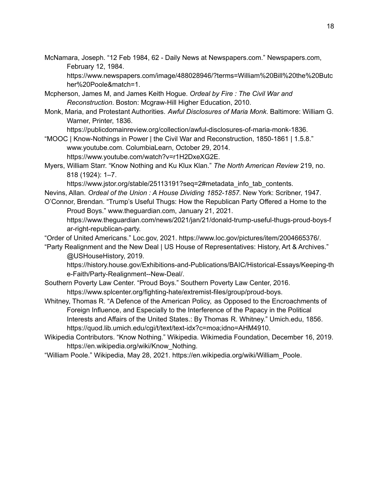McNamara, Joseph. "12 Feb 1984, 62 - Daily News at Newspapers.com." Newspapers.com, February 12, 1984.

https://www.newspapers.com/image/488028946/?terms=William%20Bill%20the%20Butc her%20Poole&match=1.

- Mcpherson, James M, and James Keith Hogue. *Ordeal by Fire : The Civil War and Reconstruction*. Boston: Mcgraw-Hill Higher Education, 2010.
- Monk, Maria, and Protestant Authorities. *Awful Disclosures of Maria Monk*. Baltimore: William G. Warner, Printer, 1836.

https://publicdomainreview.org/collection/awful-disclosures-of-maria-monk-1836.

- "MOOC | Know-Nothings in Power | the Civil War and Reconstruction, 1850-1861 | 1.5.8." www.youtube.com. ColumbiaLearn, October 29, 2014. https://www.youtube.com/watch?v=r1H2DxeXG2E.
- Myers, William Starr. "Know Nothing and Ku Klux Klan." *The North American Review* 219, no. 818 (1924): 1–7.

https://www.jstor.org/stable/25113191?seq=2#metadata\_info\_tab\_contents.

Nevins, Allan. *Ordeal of the Union : A House Dividing 1852-1857.* New York: Scribner, 1947.

O'Connor, Brendan. "Trump's Useful Thugs: How the Republican Party Offered a Home to the Proud Boys." www.theguardian.com, January 21, 2021.

https://www.theguardian.com/news/2021/jan/21/donald-trump-useful-thugs-proud-boys-f ar-right-republican-party.

"Order of United Americans." Loc.gov, 2021. https://www.loc.gov/pictures/item/2004665376/.

"Party Realignment and the New Deal | US House of Representatives: History, Art & Archives." @USHouseHistory, 2019.

https://history.house.gov/Exhibitions-and-Publications/BAIC/Historical-Essays/Keeping-th e-Faith/Party-Realignment--New-Deal/.

- Southern Poverty Law Center. "Proud Boys." Southern Poverty Law Center, 2016. https://www.splcenter.org/fighting-hate/extremist-files/group/proud-boys.
- Whitney, Thomas R. "A Defence of the American Policy, as Opposed to the Encroachments of Foreign Influence, and Especially to the Interference of the Papacy in the Political Interests and Affairs of the United States.: By Thomas R. Whitney." Umich.edu, 1856. https://quod.lib.umich.edu/cgi/t/text/text-idx?c=moa;idno=AHM4910.
- Wikipedia Contributors. "Know Nothing." Wikipedia. Wikimedia Foundation, December 16, 2019. https://en.wikipedia.org/wiki/Know\_Nothing.
- "William Poole." Wikipedia, May 28, 2021. https://en.wikipedia.org/wiki/William\_Poole.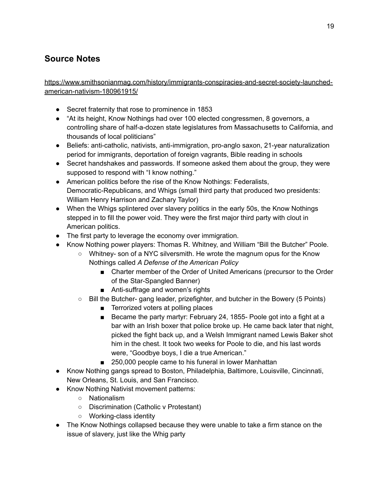# **Source Notes**

[https://www.smithsonianmag.com/history/immigrants-conspiracies-and-secret-society-launched](https://www.smithsonianmag.com/history/immigrants-conspiracies-and-secret-society-launched-american-nativism-180961915/)[american-nativism-180961915/](https://www.smithsonianmag.com/history/immigrants-conspiracies-and-secret-society-launched-american-nativism-180961915/)

- Secret fraternity that rose to prominence in 1853
- "At its height, Know Nothings had over 100 elected congressmen, 8 governors, a controlling share of half-a-dozen state legislatures from Massachusetts to California, and thousands of local politicians"
- Beliefs: anti-catholic, nativists, anti-immigration, pro-anglo saxon, 21-year naturalization period for immigrants, deportation of foreign vagrants, Bible reading in schools
- Secret handshakes and passwords. If someone asked them about the group, they were supposed to respond with "I know nothing."
- American politics before the rise of the Know Nothings: Federalists, Democratic-Republicans, and Whigs (small third party that produced two presidents: William Henry Harrison and Zachary Taylor)
- When the Whigs splintered over slavery politics in the early 50s, the Know Nothings stepped in to fill the power void. They were the first major third party with clout in American politics.
- The first party to leverage the economy over immigration.
- Know Nothing power players: Thomas R. Whitney, and William "Bill the Butcher" Poole.
	- Whitney- son of a NYC silversmith. He wrote the magnum opus for the Know Nothings called *A Defense of the American Policy*
		- Charter member of the Order of United Americans (precursor to the Order of the Star-Spangled Banner)
		- Anti-suffrage and women's rights
	- Bill the Butcher- gang leader, prizefighter, and butcher in the Bowery (5 Points)
		- Terrorized voters at polling places
		- Became the party martyr: February 24, 1855- Poole got into a fight at a bar with an Irish boxer that police broke up. He came back later that night, picked the fight back up, and a Welsh Immigrant named Lewis Baker shot him in the chest. It took two weeks for Poole to die, and his last words were, "Goodbye boys, I die a true American."
		- 250,000 people came to his funeral in lower Manhattan
- Know Nothing gangs spread to Boston, Philadelphia, Baltimore, Louisville, Cincinnati, New Orleans, St. Louis, and San Francisco.
- Know Nothing Nativist movement patterns:
	- Nationalism
	- Discrimination (Catholic v Protestant)
	- Working-class identity
- The Know Nothings collapsed because they were unable to take a firm stance on the issue of slavery, just like the Whig party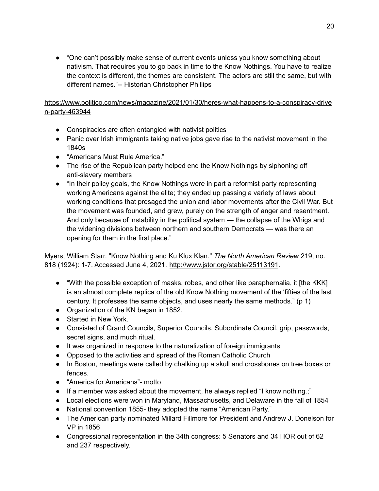● "One can't possibly make sense of current events unless you know something about nativism. That requires you to go back in time to the Know Nothings. You have to realize the context is different, the themes are consistent. The actors are still the same, but with different names."-- Historian Christopher Phillips

#### [https://www.politico.com/news/magazine/2021/01/30/heres-what-happens-to-a-conspiracy-drive](https://www.politico.com/news/magazine/2021/01/30/heres-what-happens-to-a-conspiracy-driven-party-463944) [n-party-463944](https://www.politico.com/news/magazine/2021/01/30/heres-what-happens-to-a-conspiracy-driven-party-463944)

- Conspiracies are often entangled with nativist politics
- Panic over Irish immigrants taking native jobs gave rise to the nativist movement in the 1840s
- "Americans Must Rule America."
- The rise of the Republican party helped end the Know Nothings by siphoning off anti-slavery members
- "In their policy goals, the Know Nothings were in part a reformist party representing working Americans against the elite; they ended up passing a variety of laws about working conditions that presaged the union and labor movements after the Civil War. But the movement was founded, and grew, purely on the strength of anger and resentment. And only because of instability in the political system — the collapse of the Whigs and the widening divisions between northern and southern Democrats — was there an opening for them in the first place."

Myers, William Starr. "Know Nothing and Ku Klux Klan." *The North American Review* 219, no. 818 (1924): 1-7. Accessed June 4, 2021. <http://www.jstor.org/stable/25113191>.

- "With the possible exception of masks, robes, and other like paraphernalia, it [the KKK] is an almost complete replica of the old Know Nothing movement of the 'fifties of the last century. It professes the same objects, and uses nearly the same methods." (p 1)
- Organization of the KN began in 1852.
- Started in New York.
- Consisted of Grand Councils, Superior Councils, Subordinate Council, grip, passwords, secret signs, and much ritual.
- It was organized in response to the naturalization of foreign immigrants
- Opposed to the activities and spread of the Roman Catholic Church
- In Boston, meetings were called by chalking up a skull and crossbones on tree boxes or fences.
- "America for Americans"- motto
- If a member was asked about the movement, he always replied "I know nothing.;"
- Local elections were won in Maryland, Massachusetts, and Delaware in the fall of 1854
- National convention 1855- they adopted the name "American Party."
- The American party nominated Millard Fillmore for President and Andrew J. Donelson for VP in 1856
- Congressional representation in the 34th congress: 5 Senators and 34 HOR out of 62 and 237 respectively.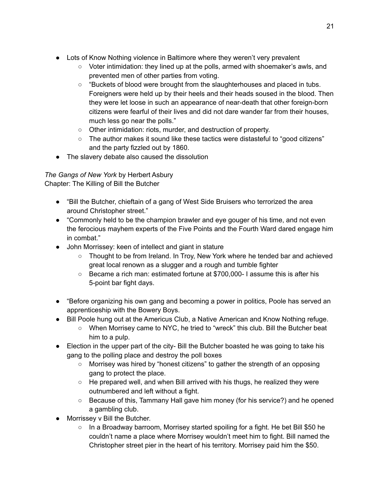- Lots of Know Nothing violence in Baltimore where they weren't very prevalent
	- $\circ$  Voter intimidation: they lined up at the polls, armed with shoemaker's awls, and prevented men of other parties from voting.
	- $\circ$  "Buckets of blood were brought from the slaughterhouses and placed in tubs. Foreigners were held up by their heels and their heads soused in the blood. Then they were let loose in such an appearance of near-death that other foreign-born citizens were fearful of their lives and did not dare wander far from their houses, much less go near the polls."
	- Other intimidation: riots, murder, and destruction of property.
	- The author makes it sound like these tactics were distasteful to "good citizens" and the party fizzled out by 1860.
- The slavery debate also caused the dissolution

*The Gangs of New York* by Herbert Asbury Chapter: The Killing of Bill the Butcher

- "Bill the Butcher, chieftain of a gang of West Side Bruisers who terrorized the area around Christopher street."
- "Commonly held to be the champion brawler and eye gouger of his time, and not even the ferocious mayhem experts of the Five Points and the Fourth Ward dared engage him in combat."
- John Morrissey: keen of intellect and giant in stature
	- Thought to be from Ireland. In Troy, New York where he tended bar and achieved great local renown as a slugger and a rough and tumble fighter
	- Became a rich man: estimated fortune at \$700,000- I assume this is after his 5-point bar fight days.
- "Before organizing his own gang and becoming a power in politics, Poole has served an apprenticeship with the Bowery Boys.
- Bill Poole hung out at the Americus Club, a Native American and Know Nothing refuge.
	- When Morrisey came to NYC, he tried to "wreck" this club. Bill the Butcher beat him to a pulp.
- Election in the upper part of the city- Bill the Butcher boasted he was going to take his gang to the polling place and destroy the poll boxes
	- Morrisey was hired by "honest citizens" to gather the strength of an opposing gang to protect the place.
	- $\circ$  He prepared well, and when Bill arrived with his thugs, he realized they were outnumbered and left without a fight.
	- Because of this, Tammany Hall gave him money (for his service?) and he opened a gambling club.
- Morrissey v Bill the Butcher.
	- In a Broadway barroom, Morrisey started spoiling for a fight. He bet Bill \$50 he couldn't name a place where Morrisey wouldn't meet him to fight. Bill named the Christopher street pier in the heart of his territory. Morrisey paid him the \$50.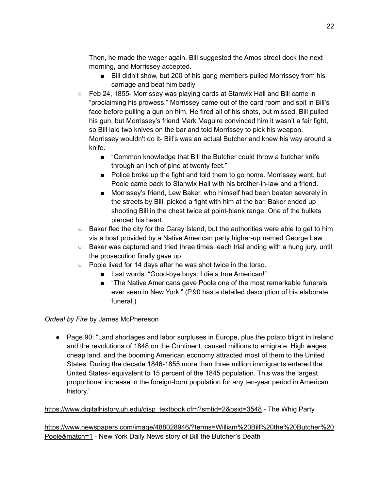Then, he made the wager again. Bill suggested the Amos street dock the next morning, and Morrissey accepted.

- Bill didn't show, but 200 of his gang members pulled Morrissey from his carriage and beat him badly
- Feb 24, 1855- Morrissey was playing cards at Stanwix Hall and Bill came in "proclaiming his prowess." Morrissey came out of the card room and spit in Bill's face before pulling a gun on him. He fired all of his shots, but missed. Bill pulled his gun, but Morrissey's friend Mark Maguire convinced him it wasn't a fair fight, so Bill laid two knives on the bar and told Morrissey to pick his weapon. Morrissey wouldn't do it- Bill's was an actual Butcher and knew his way around a knife.
	- "Common knowledge that Bill the Butcher could throw a butcher knife through an inch of pine at twenty feet."
	- Police broke up the fight and told them to go home. Morrissey went, but Poole came back to Stanwix Hall with his brother-in-law and a friend.
	- Morrissey's friend, Lew Baker, who himself had been beaten severely in the streets by Bill, picked a fight with him at the bar. Baker ended up shooting Bill in the chest twice at point-blank range. One of the bullets pierced his heart.
- $\circ$  Baker fled the city for the Caray Island, but the authorities were able to get to him via a boat provided by a Native American party higher-up named George Law
- $\circ$  Baker was captured and tried three times, each trial ending with a hung jury, until the prosecution finally gave up.
- Poole lived for 14 days after he was shot twice in the torso.
	- Last words: "Good-bye boys: I die a true American!"
	- "The Native Americans gave Poole one of the most remarkable funerals ever seen in New York." (P.90 has a detailed description of his elaborate funeral.)

#### *Ordeal by Fire* by James McPhereson

● Page 90: "Land shortages and labor surpluses in Europe, plus the potato blight in Ireland and the revolutions of 1848 on the Continent, caused millions to emigrate. High wages, cheap land, and the booming American economy attracted most of them to the United States. During the decade 1846-1855 more than three million immigrants entered the United States- equivalent to 15 percent of the 1845 population. This was the largest proportional increase in the foreign-born population for any ten-year period in American history."

#### [https://www.digitalhistory.uh.edu/disp\\_textbook.cfm?smtid=2&psid=3548](https://www.digitalhistory.uh.edu/disp_textbook.cfm?smtid=2&psid=3548) - The Whig Party

[https://www.newspapers.com/image/488028946/?terms=William%20Bill%20the%20Butcher%20](https://www.newspapers.com/image/488028946/?terms=William%20Bill%20the%20Butcher%20Poole&match=1) [Poole&match=1](https://www.newspapers.com/image/488028946/?terms=William%20Bill%20the%20Butcher%20Poole&match=1) - New York Daily News story of Bill the Butcher's Death